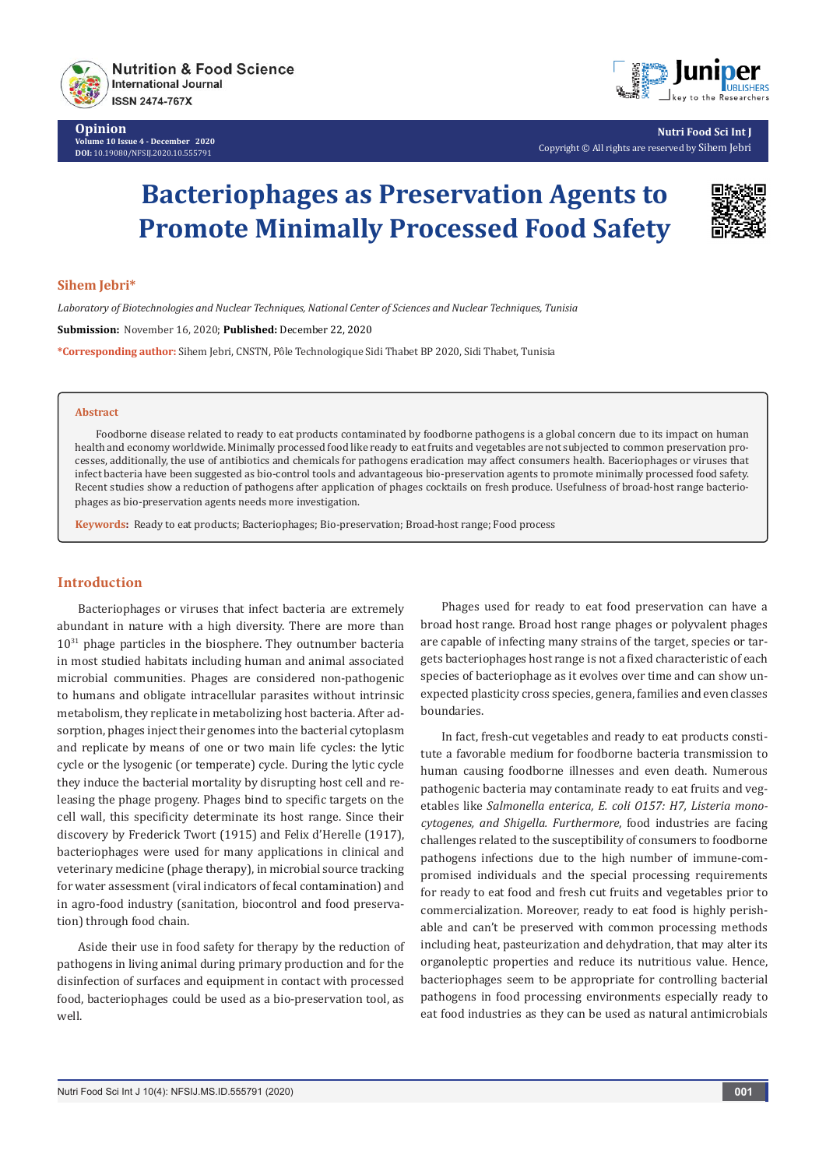

**Opinion Volume 10 Issue 4 - December 2020 DOI:** [10.19080/NFSIJ.2020.10.5557](http://dx.doi.org/10.19080/NFSIJ.2020.10.555791)91



**Nutri Food Sci Int J** Copyright © All rights are reserved by Sihem Jebri

# **Bacteriophages as Preservation Agents to Promote Minimally Processed Food Safety**



## **Sihem Jebri\***

*Laboratory of Biotechnologies and Nuclear Techniques, National Center of Sciences and Nuclear Techniques, Tunisia* **Submission:** November 16, 2020; **Published:** December 22, 2020 **\*Corresponding author:** Sihem Jebri, CNSTN, Pôle Technologique Sidi Thabet BP 2020, Sidi Thabet, Tunisia

#### **Abstract**

Foodborne disease related to ready to eat products contaminated by foodborne pathogens is a global concern due to its impact on human health and economy worldwide. Minimally processed food like ready to eat fruits and vegetables are not subjected to common preservation processes, additionally, the use of antibiotics and chemicals for pathogens eradication may affect consumers health. Baceriophages or viruses that infect bacteria have been suggested as bio-control tools and advantageous bio-preservation agents to promote minimally processed food safety. Recent studies show a reduction of pathogens after application of phages cocktails on fresh produce. Usefulness of broad-host range bacteriophages as bio-preservation agents needs more investigation.

**Keywords:** Ready to eat products; Bacteriophages; Bio-preservation; Broad-host range; Food process

## **Introduction**

Bacteriophages or viruses that infect bacteria are extremely abundant in nature with a high diversity. There are more than  $10^{31}$  phage particles in the biosphere. They outnumber bacteria in most studied habitats including human and animal associated microbial communities. Phages are considered non-pathogenic to humans and obligate intracellular parasites without intrinsic metabolism, they replicate in metabolizing host bacteria. After adsorption, phages inject their genomes into the bacterial cytoplasm and replicate by means of one or two main life cycles: the lytic cycle or the lysogenic (or temperate) cycle. During the lytic cycle they induce the bacterial mortality by disrupting host cell and releasing the phage progeny. Phages bind to specific targets on the cell wall, this specificity determinate its host range. Since their discovery by Frederick Twort (1915) and Felix d'Herelle (1917), bacteriophages were used for many applications in clinical and veterinary medicine (phage therapy), in microbial source tracking for water assessment (viral indicators of fecal contamination) and in agro-food industry (sanitation, biocontrol and food preservation) through food chain.

Aside their use in food safety for therapy by the reduction of pathogens in living animal during primary production and for the disinfection of surfaces and equipment in contact with processed food, bacteriophages could be used as a bio-preservation tool, as well.

Phages used for ready to eat food preservation can have a broad host range. Broad host range phages or polyvalent phages are capable of infecting many strains of the target, species or targets bacteriophages host range is not a fixed characteristic of each species of bacteriophage as it evolves over time and can show unexpected plasticity cross species, genera, families and even classes boundaries.

In fact, fresh-cut vegetables and ready to eat products constitute a favorable medium for foodborne bacteria transmission to human causing foodborne illnesses and even death. Numerous pathogenic bacteria may contaminate ready to eat fruits and vegetables like *Salmonella enterica, E. coli O157: H7, Listeria monocytogenes, and Shigella. Furthermore*, food industries are facing challenges related to the susceptibility of consumers to foodborne pathogens infections due to the high number of immune-compromised individuals and the special processing requirements for ready to eat food and fresh cut fruits and vegetables prior to commercialization. Moreover, ready to eat food is highly perishable and can't be preserved with common processing methods including heat, pasteurization and dehydration, that may alter its organoleptic properties and reduce its nutritious value. Hence, bacteriophages seem to be appropriate for controlling bacterial pathogens in food processing environments especially ready to eat food industries as they can be used as natural antimicrobials